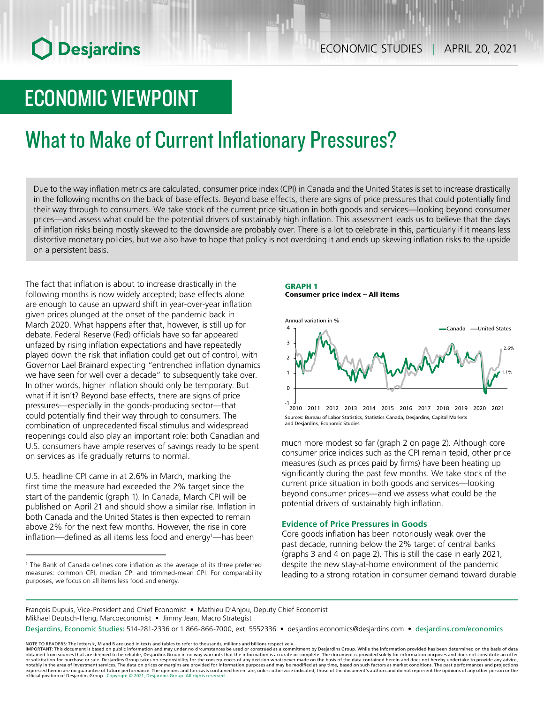# ECONOMIC VIEWPOINT

# What to Make of Current Inflationary Pressures?

Due to the way inflation metrics are calculated, consumer price index (CPI) in Canada and the United States is set to increase drastically in the following months on the back of base effects. Beyond base effects, there are signs of price pressures that could potentially find their way through to consumers. We take stock of the current price situation in both goods and services—looking beyond consumer prices—and assess what could be the potential drivers of sustainably high inflation. This assessment leads us to believe that the days of inflation risks being mostly skewed to the downside are probably over. There is a lot to celebrate in this, particularly if it means less distortive monetary policies, but we also have to hope that policy is not overdoing it and ends up skewing inflation risks to the upside on a persistent basis.

0

The fact that inflation is about to increase drastically in the following months is now widely accepted; base effects alone are enough to cause an upward shift in year-over-year inflation given prices plunged at the onset of the pandemic back in March 2020. What happens after that, however, is still up for debate. Federal Reserve (Fed) officials have so far appeared unfazed by rising inflation expectations and have repeatedly played down the risk that inflation could get out of control, with Governor Lael Brainard expecting "entrenched inflation dynamics we have seen for well over a decade" to subsequently take over. In other words, higher inflation should only be temporary. But what if it isn't? Beyond base effects, there are signs of price pressures—especially in the goods-producing sector—that could potentially find their way through to consumers. The combination of unprecedented fiscal stimulus and widespread reopenings could also play an important role: both Canadian and U.S. consumers have ample reserves of savings ready to be spent on services as life gradually returns to normal.

U.S. headline CPI came in at 2.6% in March, marking the first time the measure had exceeded the 2% target since the start of the pandemic (graph 1). In Canada, March CPI will be published on April 21 and should show a similar rise. Inflation in both Canada and the United States is then expected to remain above 2% for the next few months. However, the rise in core inflation—defined as all items less food and energy<sup>1</sup>—has been

#### GRAPH 1 Consumer price index – All items



Sources: Bureau of Labor Statistics, Statistics Canada, Desjardins, Capital Markets and Desjardins, Economic Studies -1 2010 2011 2012 2013 2014 2015 2016 2017 2018 2019 2020 2021

much more modest so far (graph 2 on page 2). Although core consumer price indices such as the CPI remain tepid, other price measures (such as prices paid by firms) have been heating up significantly during the past few months. We take stock of the current price situation in both goods and services—looking beyond consumer prices—and we assess what could be the potential drivers of sustainably high inflation.

### **Evidence of Price Pressures in Goods**

Core goods inflation has been notoriously weak over the past decade, running below the 2% target of central banks (graphs 3 and 4 on page 2). This is still the case in early 2021, despite the new stay-at-home environment of the pandemic leading to a strong rotation in consumer demand toward durable

François Dupuis, Vice-President and Chief Economist • Mathieu D'Anjou, Deputy Chief Economist Mikhael Deutsch-Heng, Marcoeconomist • Jimmy Jean, Macro Strategist

Desjardins, Economic Studies: 514-281-2336 or 1 866-866-7000, ext. 5552336 • desjardins.economics@desjardins.com • [desjardins.com/economics](http://desjardins.com/economics)

NOTE TO READERS: The letters k, M and B are used in texts and tables to refer to thousands, millions and billions respectively.<br>IMPORTANT: This document is based on public information and may under no circumstances be used obtained from sources that are deemed to be reliable, Desjardins Group in no way warrants that the information is accurate or complete. The document is provided solely for information purposes and does not constitute an of official position of Desjardins Group. Copyright © 2021, Desjardins Group. All rights reserved.

<sup>1</sup> The Bank of Canada defines core inflation as the average of its three preferred measures: common CPI, median CPI and trimmed-mean CPI. For comparability purposes, we focus on all items less food and energy.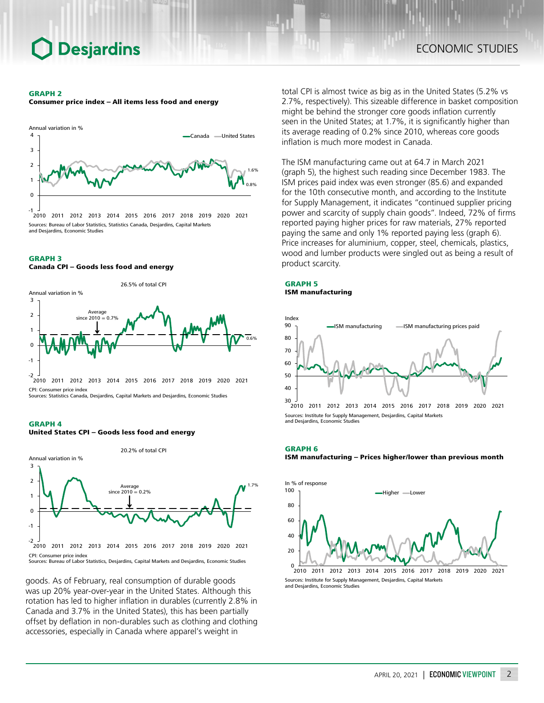#### GRAPH 2

Consumer price index – All items less food and energy



### product scarcity. GRAPH 3 Canada CPI – Goods less food and energy



Sources: Statistics Canada, Desjardins, Capital Markets and Desjardins, Economic Studies





Sources: Bureau of Labor Statistics, Desjardins, Capital Markets and Desjardins, Economic Studies

goods. As of February, real consumption of durable goods was up 20% year-over-year in the United States. Although this rotation has led to higher inflation in durables (currently 2.8% in Canada and 3.7% in the United States), this has been partially offset by deflation in non-durables such as clothing and clothing accessories, especially in Canada where apparel's weight in

total CPI is almost twice as big as in the United States (5.2% vs 2.7%, respectively). This sizeable difference in basket composition might be behind the stronger core goods inflation currently seen in the United States; at 1.7%, it is significantly higher than its average reading of 0.2% since 2010, whereas core goods inflation is much more modest in Canada.

The ISM manufacturing came out at 64.7 in March 2021 (graph 5), the highest such reading since December 1983. The ISM prices paid index was even stronger (85.6) and expanded for the 10th consecutive month, and according to the Institute for Supply Management, it indicates "continued supplier pricing power and scarcity of supply chain goods". Indeed, 72% of firms reported paying higher prices for raw materials, 27% reported paying the same and only 1% reported paying less (graph 6). Price increases for aluminium, copper, steel, chemicals, plastics, wood and lumber products were singled out as being a result of

#### GRAPH 5 ISM manufacturing



Sources: Institute for Supply Management, Desjardins, Capital Markets and Desjardins, Economic Studies 2010 2011 2012 2013 2014 2015 2016 2017 2018 2019 2020 2021

#### GRAPH 6

ISM manufacturing – Prices higher/lower than previous month



Sources: Institute for Supply Management, Desjardins, Capital Markets and Desjardins, Economic Studies 2010 2011 2012 2013 2014 2015 2016 2017 2018 2019 2020 2021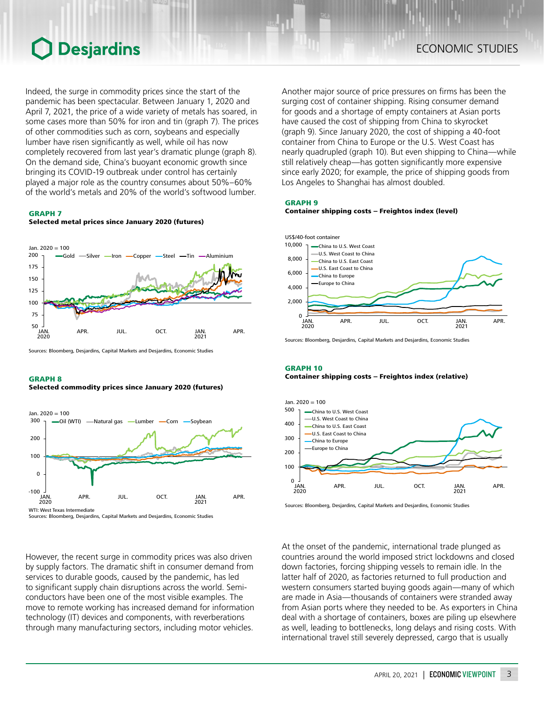Indeed, the surge in commodity prices since the start of the pandemic has been spectacular. Between January 1, 2020 and April 7, 2021, the price of a wide variety of metals has soared, in some cases more than 50% for iron and tin (graph 7). The prices of other commodities such as corn, soybeans and especially lumber have risen significantly as well, while oil has now completely recovered from last year's dramatic plunge (graph 8). On the demand side, China's buoyant economic growth since bringing its COVID-19 outbreak under control has certainly played a major role as the country consumes about 50%–60% of the world's metals and 20% of the world's softwood lumber.

#### GRAPH 7

#### Selected metal prices since January 2020 (futures)



Sources: Bloomberg, Desjardins, Capital Markets and Desjardins, Economic Studies

#### GRAPH 8

#### Selected commodity prices since January 2020 (futures)



However, the recent surge in commodity prices was also driven by supply factors. The dramatic shift in consumer demand from services to durable goods, caused by the pandemic, has led to significant supply chain disruptions across the world. Semiconductors have been one of the most visible examples. The move to remote working has increased demand for information technology (IT) devices and components, with reverberations through many manufacturing sectors, including motor vehicles.

Another major source of price pressures on firms has been the surging cost of container shipping. Rising consumer demand for goods and a shortage of empty containers at Asian ports have caused the cost of shipping from China to skyrocket (graph 9). Since January 2020, the cost of shipping a 40-foot container from China to Europe or the U.S. West Coast has nearly quadrupled (graph 10). But even shipping to China—while still relatively cheap—has gotten significantly more expensive since early 2020; for example, the price of shipping goods from Los Angeles to Shanghai has almost doubled.

#### GRAPH 9





Sources: Bloomberg, Desjardins, Capital Markets and Desjardins, Economic Studies

#### GRAPH 10 Container shipping costs – Freightos index (relative)



Sources: Bloomberg, Desjardins, Capital Markets and Desjardins, Economic Studies

At the onset of the pandemic, international trade plunged as countries around the world imposed strict lockdowns and closed down factories, forcing shipping vessels to remain idle. In the latter half of 2020, as factories returned to full production and western consumers started buying goods again—many of which are made in Asia—thousands of containers were stranded away from Asian ports where they needed to be. As exporters in China deal with a shortage of containers, boxes are piling up elsewhere as well, leading to bottlenecks, long delays and rising costs. With international travel still severely depressed, cargo that is usually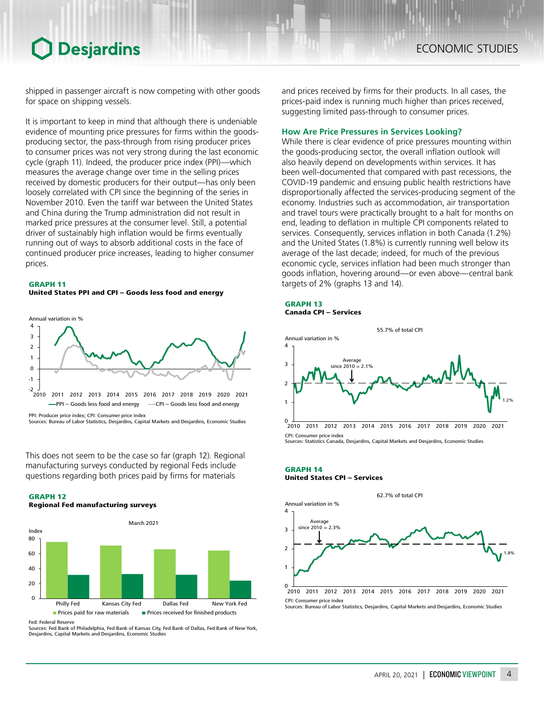shipped in passenger aircraft is now competing with other goods for space on shipping vessels.

It is important to keep in mind that although there is undeniable evidence of mounting price pressures for firms within the goodsproducing sector, the pass-through from rising producer prices to consumer prices was not very strong during the last economic cycle (graph 11). Indeed, the producer price index (PPI)—which measures the average change over time in the selling prices received by domestic producers for their output—has only been loosely correlated with CPI since the beginning of the series in November 2010. Even the tariff war between the United States and China during the Trump administration did not result in marked price pressures at the consumer level. Still, a potential driver of sustainably high inflation would be firms eventually running out of ways to absorb additional costs in the face of continued producer price increases, leading to higher consumer prices.

#### GRAPH 11

United States PPI and CPI – Goods less food and energy



Sources: Bureau of Labor Statistics, Desjardins, Capital Markets and Desjardins, Economic Studies

This does not seem to be the case so far (graph 12). Regional manufacturing surveys conducted by regional Feds include questions regarding both prices paid by firms for materials







Fed: Federal Reserve Sources: Fed Bank of Philadelphia, Fed Bank of Kansas City, Fed Bank of Dallas, Fed Bank of New York, Desjardins, Capital Markets and Desjardins, Economic Studies

and prices received by firms for their products. In all cases, the prices-paid index is running much higher than prices received, suggesting limited pass-through to consumer prices.

#### **How Are Price Pressures in Services Looking?**

While there is clear evidence of price pressures mounting within the goods-producing sector, the overall inflation outlook will also heavily depend on developments within services. It has been well-documented that compared with past recessions, the COVID‑19 pandemic and ensuing public health restrictions have disproportionally affected the services-producing segment of the economy. Industries such as accommodation, air transportation and travel tours were practically brought to a halt for months on end, leading to deflation in multiple CPI components related to services. Consequently, services inflation in both Canada (1.2%) and the United States (1.8%) is currently running well below its average of the last decade; indeed, for much of the previous economic cycle, services inflation had been much stronger than goods inflation, hovering around—or even above—central bank targets of 2% (graphs 13 and 14).

#### GRAPH 13 Canada CPI – Services



Sources: Statistics Canada, Desjardins, Capital Markets and Desjardins, Economic Studies

#### GRAPH 14 United States CPI – Services



Sources: Bureau of Labor Statistics, Desjardins, Capital Markets and Desjardins, Economic Studies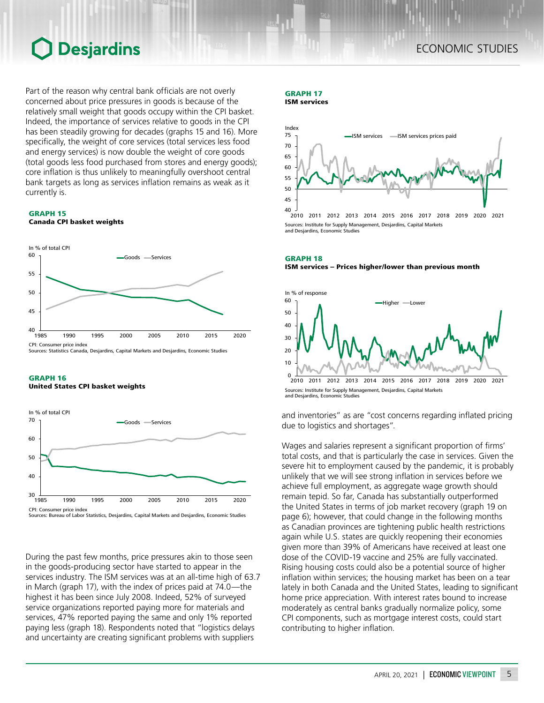Part of the reason why central bank officials are not overly concerned about price pressures in goods is because of the relatively small weight that goods occupy within the CPI basket. Indeed, the importance of services relative to goods in the CPI has been steadily growing for decades (graphs 15 and 16). More specifically, the weight of core services (total services less food and energy services) is now double the weight of core goods (total goods less food purchased from stores and energy goods); core inflation is thus unlikely to meaningfully overshoot central bank targets as long as services inflation remains as weak as it currently is.

GRAPH 15 Canada CPI basket weights







During the past few months, price pressures akin to those seen in the goods-producing sector have started to appear in the services industry. The ISM services was at an all-time high of 63.7 in March (graph 17), with the index of prices paid at 74.0—the highest it has been since July 2008. Indeed, 52% of surveyed service organizations reported paying more for materials and services, 47% reported paying the same and only 1% reported paying less (graph 18). Respondents noted that "logistics delays and uncertainty are creating significant problems with suppliers

### GRAPH 17

ISM services



Sources: Institute for Supply Management, Desjardins, Capital Markets and Desjardins, Economic Studies

GRAPH 18 ISM services – Prices higher/lower than previous month



Sources: Institute for Supply Management, Desjardins, Capital Markets and Desjardins, Economic Studies

and inventories" as are "cost concerns regarding inflated pricing due to logistics and shortages".

Wages and salaries represent a significant proportion of firms' total costs, and that is particularly the case in services. Given the severe hit to employment caused by the pandemic, it is probably unlikely that we will see strong inflation in services before we achieve full employment, as aggregate wage growth should remain tepid. So far, Canada has substantially outperformed the United States in terms of job market recovery (graph 19 on page 6); however, that could change in the following months as Canadian provinces are tightening public health restrictions again while U.S. states are quickly reopening their economies given more than 39% of Americans have received at least one dose of the COVID-19 vaccine and 25% are fully vaccinated. Rising housing costs could also be a potential source of higher inflation within services; the housing market has been on a tear lately in both Canada and the United States, leading to significant home price appreciation. With interest rates bound to increase moderately as central banks gradually normalize policy, some CPI components, such as mortgage interest costs, could start contributing to higher inflation.